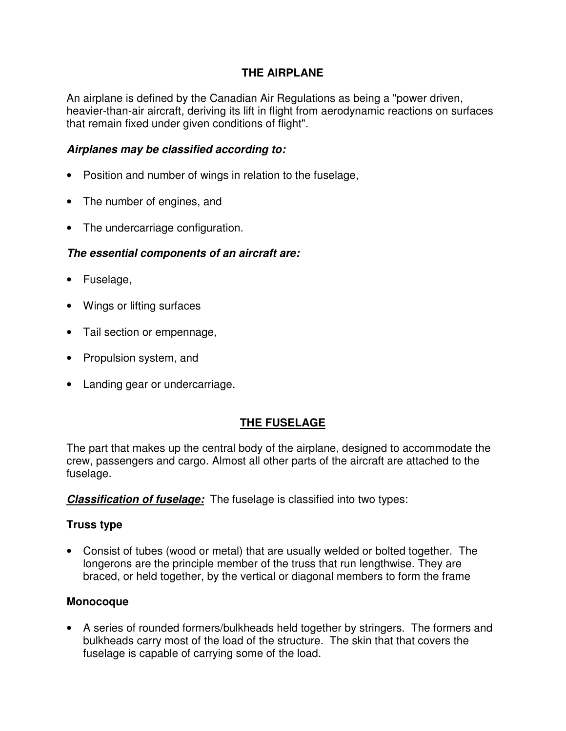### **THE AIRPLANE**

An airplane is defined by the Canadian Air Regulations as being a "power driven, heavier-than-air aircraft, deriving its lift in flight from aerodynamic reactions on surfaces that remain fixed under given conditions of flight".

### **Airplanes may be classified according to:**

- Position and number of wings in relation to the fuselage,
- The number of engines, and
- The undercarriage configuration.

### **The essential components of an aircraft are:**

- Fuselage,
- Wings or lifting surfaces
- Tail section or empennage,
- Propulsion system, and
- Landing gear or undercarriage.

# **THE FUSELAGE**

The part that makes up the central body of the airplane, designed to accommodate the crew, passengers and cargo. Almost all other parts of the aircraft are attached to the fuselage.

**Classification of fuselage:** The fuselage is classified into two types:

#### **Truss type**

• Consist of tubes (wood or metal) that are usually welded or bolted together. The longerons are the principle member of the truss that run lengthwise. They are braced, or held together, by the vertical or diagonal members to form the frame

#### **Monocoque**

• A series of rounded formers/bulkheads held together by stringers. The formers and bulkheads carry most of the load of the structure. The skin that that covers the fuselage is capable of carrying some of the load.